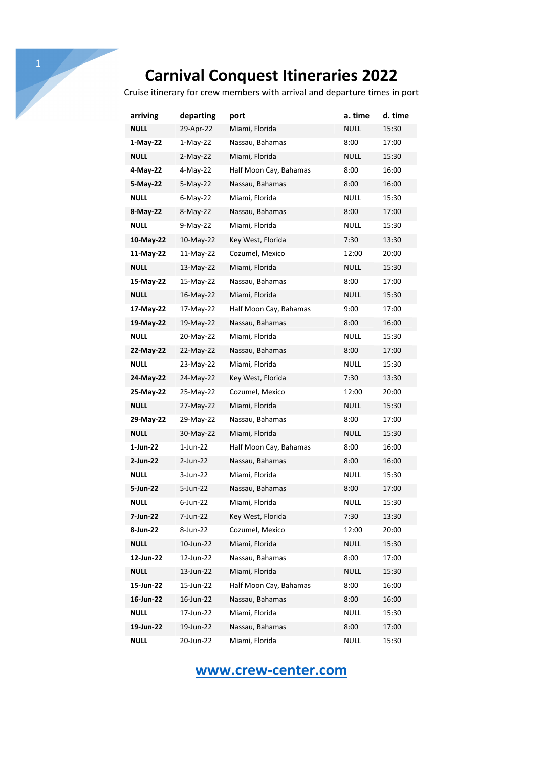Cruise itinerary for crew members with arrival and departure times in port

| arriving    | departing   | port                   | a. time     | d. time |
|-------------|-------------|------------------------|-------------|---------|
| <b>NULL</b> | 29-Apr-22   | Miami, Florida         | <b>NULL</b> | 15:30   |
| 1-May-22    | $1-May-22$  | Nassau, Bahamas        | 8:00        | 17:00   |
| <b>NULL</b> | $2-May-22$  | Miami, Florida         | <b>NULL</b> | 15:30   |
| 4-May-22    | 4-May-22    | Half Moon Cay, Bahamas | 8:00        | 16:00   |
| 5-May-22    | $5-May-22$  | Nassau, Bahamas        | 8:00        | 16:00   |
| <b>NULL</b> | $6$ -May-22 | Miami, Florida         | NULL        | 15:30   |
| 8-May-22    | $8-Mav-22$  | Nassau, Bahamas        | 8:00        | 17:00   |
| <b>NULL</b> | $9-Mav-22$  | Miami, Florida         | NULL        | 15:30   |
| 10-May-22   | 10-May-22   | Key West, Florida      | 7:30        | 13:30   |
| 11-May-22   | 11-May-22   | Cozumel, Mexico        | 12:00       | 20:00   |
| <b>NULL</b> | 13-May-22   | Miami, Florida         | NULL        | 15:30   |
| 15-May-22   | 15-May-22   | Nassau, Bahamas        | 8:00        | 17:00   |
| <b>NULL</b> | 16-May-22   | Miami, Florida         | NULL        | 15:30   |
| 17-May-22   | 17-May-22   | Half Moon Cay, Bahamas | 9:00        | 17:00   |
| 19-May-22   | 19-May-22   | Nassau, Bahamas        | 8:00        | 16:00   |
| <b>NULL</b> | 20-May-22   | Miami, Florida         | NULL        | 15:30   |
| 22-May-22   | 22-May-22   | Nassau, Bahamas        | 8:00        | 17:00   |
| <b>NULL</b> | 23-May-22   | Miami, Florida         | NULL        | 15:30   |
| 24-May-22   | 24-May-22   | Key West, Florida      | 7:30        | 13:30   |
| 25-May-22   | 25-May-22   | Cozumel, Mexico        | 12:00       | 20:00   |
| NULL        | 27-May-22   | Miami, Florida         | NULL        | 15:30   |
| 29-May-22   | 29-May-22   | Nassau, Bahamas        | 8:00        | 17:00   |
| NULL        | 30-May-22   | Miami, Florida         | NULL        | 15:30   |
| 1-Jun-22    | 1-Jun-22    | Half Moon Cay, Bahamas | 8:00        | 16:00   |
| 2-Jun-22    | 2-Jun-22    | Nassau, Bahamas        | 8:00        | 16:00   |
| <b>NULL</b> | 3-Jun-22    | Miami, Florida         | NULL        | 15:30   |
| 5-Jun-22    | 5-Jun-22    | Nassau, Bahamas        | 8:00        | 17:00   |
| <b>NULL</b> | $6$ -Jun-22 | Miami, Florida         | <b>NULL</b> | 15:30   |
| 7-Jun-22    | 7-Jun-22    | Key West, Florida      | 7:30        | 13:30   |
| 8-Jun-22    | 8-Jun-22    | Cozumel, Mexico        | 12:00       | 20:00   |
| <b>NULL</b> | 10-Jun-22   | Miami, Florida         | <b>NULL</b> | 15:30   |
| 12-Jun-22   | 12-Jun-22   | Nassau, Bahamas        | 8:00        | 17:00   |
| <b>NULL</b> | 13-Jun-22   | Miami, Florida         | <b>NULL</b> | 15:30   |
| 15-Jun-22   | 15-Jun-22   | Half Moon Cay, Bahamas | 8:00        | 16:00   |
| 16-Jun-22   | 16-Jun-22   | Nassau, Bahamas        | 8:00        | 16:00   |
| <b>NULL</b> | 17-Jun-22   | Miami, Florida         | <b>NULL</b> | 15:30   |
| 19-Jun-22   | 19-Jun-22   | Nassau, Bahamas        | 8:00        | 17:00   |
| <b>NULL</b> | 20-Jun-22   | Miami, Florida         | <b>NULL</b> | 15:30   |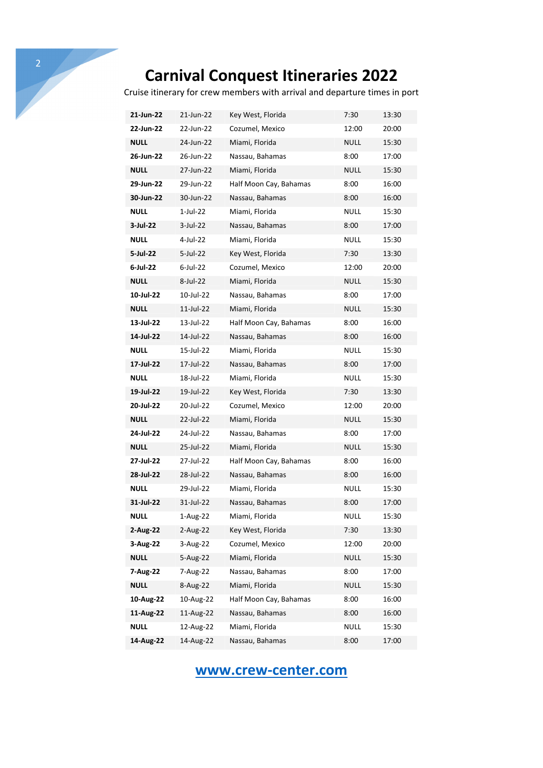Cruise itinerary for crew members with arrival and departure times in port

| 21-Jun-22   | 21-Jun-22   | Key West, Florida      | 7:30        | 13:30 |
|-------------|-------------|------------------------|-------------|-------|
| 22-Jun-22   | 22-Jun-22   | Cozumel, Mexico        | 12:00       | 20:00 |
| <b>NULL</b> | 24-Jun-22   | Miami, Florida         | NULL        | 15:30 |
| 26-Jun-22   | 26-Jun-22   | Nassau, Bahamas        | 8:00        | 17:00 |
| <b>NULL</b> | 27-Jun-22   | Miami, Florida         | NULL        | 15:30 |
| 29-Jun-22   | 29-Jun-22   | Half Moon Cay, Bahamas | 8:00        | 16:00 |
| 30-Jun-22   | 30-Jun-22   | Nassau, Bahamas        | 8:00        | 16:00 |
| <b>NULL</b> | 1-Jul-22    | Miami, Florida         | NULL        | 15:30 |
| 3-Jul-22    | $3$ -Jul-22 | Nassau, Bahamas        | 8:00        | 17:00 |
| <b>NULL</b> | 4-Jul-22    | Miami, Florida         | NULL        | 15:30 |
| 5-Jul-22    | 5-Jul-22    | Key West, Florida      | 7:30        | 13:30 |
| 6-Jul-22    | 6-Jul-22    | Cozumel, Mexico        | 12:00       | 20:00 |
| <b>NULL</b> | 8-Jul-22    | Miami, Florida         | NULL        | 15:30 |
| 10-Jul-22   | 10-Jul-22   | Nassau, Bahamas        | 8:00        | 17:00 |
| <b>NULL</b> | 11-Jul-22   | Miami, Florida         | <b>NULL</b> | 15:30 |
| 13-Jul-22   | 13-Jul-22   | Half Moon Cay, Bahamas | 8:00        | 16:00 |
| 14-Jul-22   | 14-Jul-22   | Nassau, Bahamas        | 8:00        | 16:00 |
| <b>NULL</b> | 15-Jul-22   | Miami, Florida         | NULL        | 15:30 |
| 17-Jul-22   | 17-Jul-22   | Nassau, Bahamas        | 8:00        | 17:00 |
| <b>NULL</b> | 18-Jul-22   | Miami, Florida         | NULL        | 15:30 |
| 19-Jul-22   | 19-Jul-22   | Key West, Florida      | 7:30        | 13:30 |
| 20-Jul-22   | 20-Jul-22   | Cozumel, Mexico        | 12:00       | 20:00 |
| <b>NULL</b> | 22-Jul-22   | Miami, Florida         | NULL        | 15:30 |
| 24-Jul-22   | 24-Jul-22   | Nassau, Bahamas        | 8:00        | 17:00 |
| <b>NULL</b> | 25-Jul-22   | Miami, Florida         | NULL        | 15:30 |
| 27-Jul-22   | 27-Jul-22   | Half Moon Cay, Bahamas | 8:00        | 16:00 |
| 28-Jul-22   | 28-Jul-22   | Nassau, Bahamas        | 8:00        | 16:00 |
| <b>NULL</b> | 29-Jul-22   | Miami, Florida         | NULL        | 15:30 |
| 31-Jul-22   | 31-Jul-22   | Nassau, Bahamas        | 8:00        | 17:00 |
| <b>NULL</b> | 1-Aug-22    | Miami, Florida         | <b>NULL</b> | 15:30 |
| 2-Aug-22    | 2-Aug-22    | Key West, Florida      | 7:30        | 13:30 |
| 3-Aug-22    | 3-Aug-22    | Cozumel, Mexico        | 12:00       | 20:00 |
| <b>NULL</b> | 5-Aug-22    | Miami, Florida         | <b>NULL</b> | 15:30 |
| 7-Aug-22    | 7-Aug-22    | Nassau, Bahamas        | 8:00        | 17:00 |
| <b>NULL</b> | 8-Aug-22    | Miami, Florida         | <b>NULL</b> | 15:30 |
| 10-Aug-22   | 10-Aug-22   | Half Moon Cay, Bahamas | 8:00        | 16:00 |
| 11-Aug-22   | 11-Aug-22   | Nassau, Bahamas        | 8:00        | 16:00 |
| <b>NULL</b> | 12-Aug-22   | Miami, Florida         | <b>NULL</b> | 15:30 |
| 14-Aug-22   | 14-Aug-22   | Nassau, Bahamas        | 8:00        | 17:00 |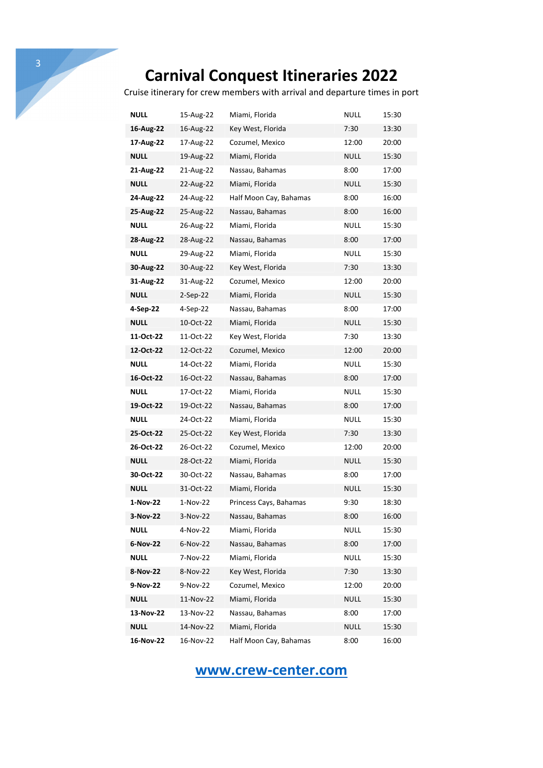Cruise itinerary for crew members with arrival and departure times in port

| NULL        | 15-Aug-22 | Miami, Florida         | NULL        | 15:30 |
|-------------|-----------|------------------------|-------------|-------|
| 16-Aug-22   | 16-Aug-22 | Key West, Florida      | 7:30        | 13:30 |
| 17-Aug-22   | 17-Aug-22 | Cozumel, Mexico        | 12:00       | 20:00 |
| <b>NULL</b> | 19-Aug-22 | Miami, Florida         | NULL        | 15:30 |
| 21-Aug-22   | 21-Aug-22 | Nassau, Bahamas        | 8:00        | 17:00 |
| NULL        | 22-Aug-22 | Miami, Florida         | NULL        | 15:30 |
| 24-Aug-22   | 24-Aug-22 | Half Moon Cay, Bahamas | 8:00        | 16:00 |
| 25-Aug-22   | 25-Aug-22 | Nassau, Bahamas        | 8:00        | 16:00 |
| <b>NULL</b> | 26-Aug-22 | Miami, Florida         | NULL        | 15:30 |
| 28-Aug-22   | 28-Aug-22 | Nassau, Bahamas        | 8:00        | 17:00 |
| <b>NULL</b> | 29-Aug-22 | Miami, Florida         | <b>NULL</b> | 15:30 |
| 30-Aug-22   | 30-Aug-22 | Key West, Florida      | 7:30        | 13:30 |
| 31-Aug-22   | 31-Aug-22 | Cozumel, Mexico        | 12:00       | 20:00 |
| <b>NULL</b> | 2-Sep-22  | Miami, Florida         | <b>NULL</b> | 15:30 |
| 4-Sep-22    | 4-Sep-22  | Nassau, Bahamas        | 8:00        | 17:00 |
| <b>NULL</b> | 10-Oct-22 | Miami, Florida         | <b>NULL</b> | 15:30 |
| 11-Oct-22   | 11-Oct-22 | Key West, Florida      | 7:30        | 13:30 |
| 12-Oct-22   | 12-Oct-22 | Cozumel, Mexico        | 12:00       | 20:00 |
| <b>NULL</b> | 14-Oct-22 | Miami, Florida         | NULL        | 15:30 |
| 16-Oct-22   | 16-Oct-22 | Nassau, Bahamas        | 8:00        | 17:00 |
| <b>NULL</b> | 17-Oct-22 | Miami, Florida         | <b>NULL</b> | 15:30 |
| 19-Oct-22   | 19-Oct-22 | Nassau, Bahamas        | 8:00        | 17:00 |
| <b>NULL</b> | 24-Oct-22 | Miami, Florida         | NULL        | 15:30 |
| 25-Oct-22   | 25-Oct-22 | Key West, Florida      | 7:30        | 13:30 |
| 26-Oct-22   | 26-Oct-22 | Cozumel, Mexico        | 12:00       | 20:00 |
| <b>NULL</b> | 28-Oct-22 | Miami, Florida         | <b>NULL</b> | 15:30 |
| 30-Oct-22   | 30-Oct-22 | Nassau, Bahamas        | 8:00        | 17:00 |
| <b>NULL</b> | 31-Oct-22 | Miami, Florida         | <b>NULL</b> | 15:30 |
| 1-Nov-22    | 1-Nov-22  | Princess Cays, Bahamas | 9:30        | 18:30 |
| 3-Nov-22    | 3-Nov-22  | Nassau, Bahamas        | 8:00        | 16:00 |
| <b>NULL</b> | 4-Nov-22  | Miami, Florida         | <b>NULL</b> | 15:30 |
| 6-Nov-22    | 6-Nov-22  | Nassau, Bahamas        | 8:00        | 17:00 |
| <b>NULL</b> | 7-Nov-22  | Miami, Florida         | <b>NULL</b> | 15:30 |
| 8-Nov-22    | 8-Nov-22  | Key West, Florida      | 7:30        | 13:30 |
| 9-Nov-22    | 9-Nov-22  | Cozumel, Mexico        | 12:00       | 20:00 |
| <b>NULL</b> | 11-Nov-22 | Miami, Florida         | <b>NULL</b> | 15:30 |
| 13-Nov-22   | 13-Nov-22 | Nassau, Bahamas        | 8:00        | 17:00 |
| <b>NULL</b> | 14-Nov-22 | Miami, Florida         | <b>NULL</b> | 15:30 |
| 16-Nov-22   | 16-Nov-22 | Half Moon Cay, Bahamas | 8:00        | 16:00 |